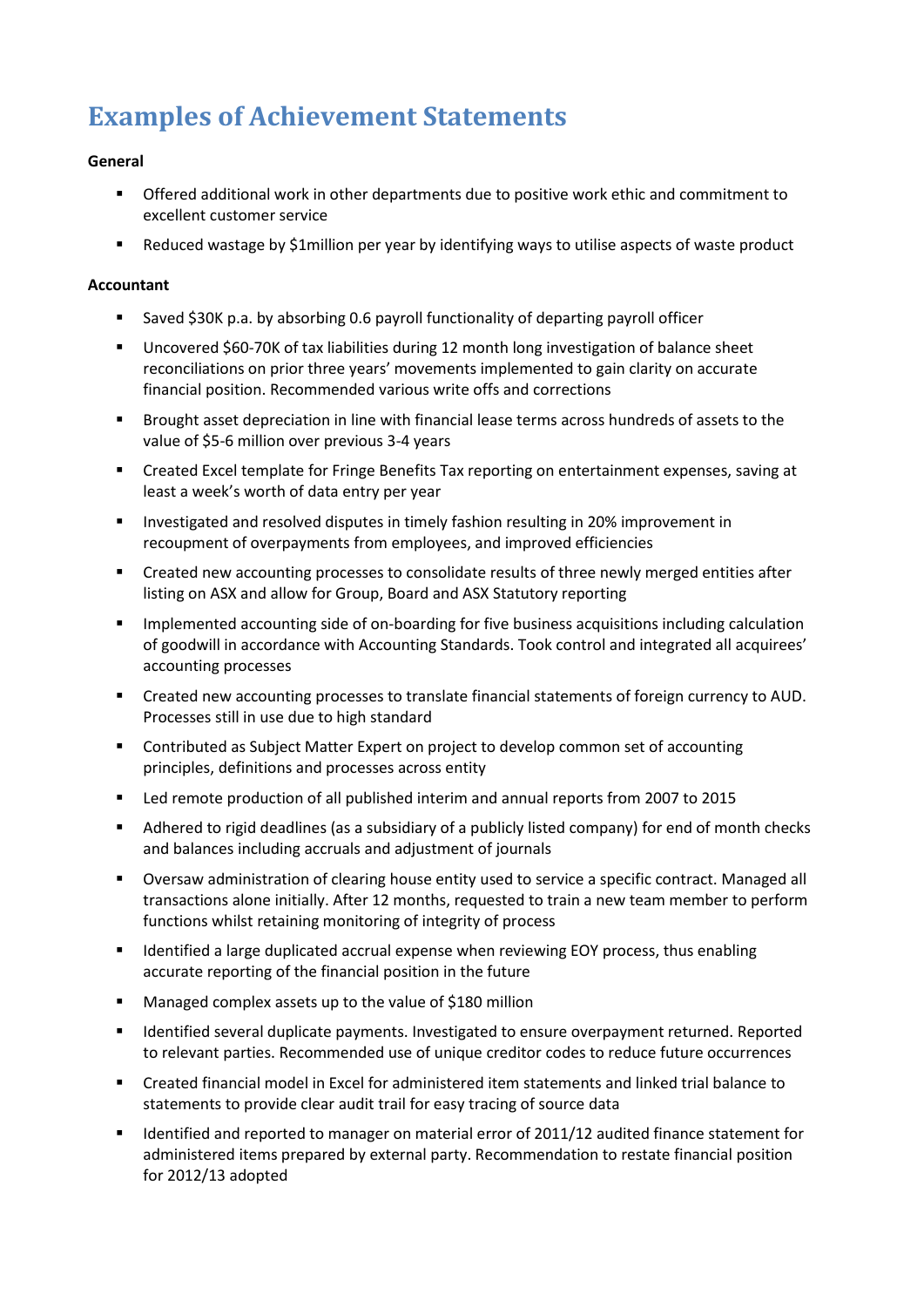# **Examples of Achievement Statements**

# **General**

- Offered additional work in other departments due to positive work ethic and commitment to excellent customer service
- Reduced wastage by \$1million per year by identifying ways to utilise aspects of waste product

# **Accountant**

- Saved \$30K p.a. by absorbing 0.6 payroll functionality of departing payroll officer
- Uncovered \$60-70K of tax liabilities during 12 month long investigation of balance sheet reconciliations on prior three years' movements implemented to gain clarity on accurate financial position. Recommended various write offs and corrections
- Brought asset depreciation in line with financial lease terms across hundreds of assets to the value of \$5-6 million over previous 3-4 years
- Created Excel template for Fringe Benefits Tax reporting on entertainment expenses, saving at least a week's worth of data entry per year
- Investigated and resolved disputes in timely fashion resulting in 20% improvement in recoupment of overpayments from employees, and improved efficiencies
- Created new accounting processes to consolidate results of three newly merged entities after listing on ASX and allow for Group, Board and ASX Statutory reporting
- **IMPLEMENTED Accounting side of on-boarding for five business acquisitions including calculation** of goodwill in accordance with Accounting Standards. Took control and integrated all acquirees' accounting processes
- Created new accounting processes to translate financial statements of foreign currency to AUD. Processes still in use due to high standard
- Contributed as Subject Matter Expert on project to develop common set of accounting principles, definitions and processes across entity
- Led remote production of all published interim and annual reports from 2007 to 2015
- Adhered to rigid deadlines (as a subsidiary of a publicly listed company) for end of month checks and balances including accruals and adjustment of journals
- Oversaw administration of clearing house entity used to service a specific contract. Managed all transactions alone initially. After 12 months, requested to train a new team member to perform functions whilst retaining monitoring of integrity of process
- **IDENTIFIED A Large duplicated accrual expense when reviewing EOY process, thus enabling** accurate reporting of the financial position in the future
- **Managed complex assets up to the value of \$180 million**
- Identified several duplicate payments. Investigated to ensure overpayment returned. Reported to relevant parties. Recommended use of unique creditor codes to reduce future occurrences
- Created financial model in Excel for administered item statements and linked trial balance to statements to provide clear audit trail for easy tracing of source data
- Identified and reported to manager on material error of 2011/12 audited finance statement for administered items prepared by external party. Recommendation to restate financial position for 2012/13 adopted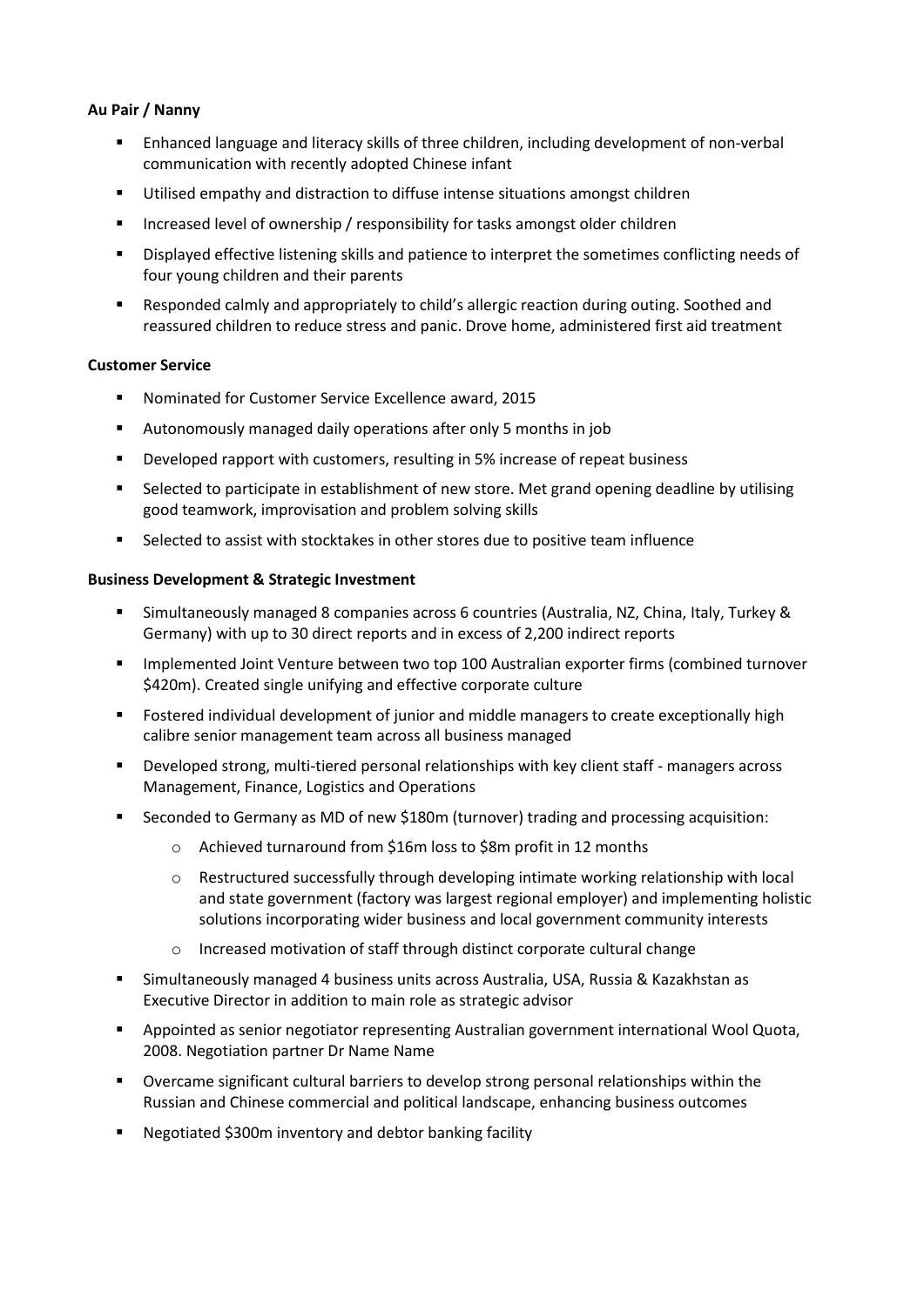# **Au Pair / Nanny**

- Enhanced language and literacy skills of three children, including development of non-verbal communication with recently adopted Chinese infant
- Utilised empathy and distraction to diffuse intense situations amongst children
- **Increased level of ownership / responsibility for tasks amongst older children**
- Displayed effective listening skills and patience to interpret the sometimes conflicting needs of four young children and their parents
- Responded calmly and appropriately to child's allergic reaction during outing. Soothed and reassured children to reduce stress and panic. Drove home, administered first aid treatment

## **Customer Service**

- Nominated for Customer Service Excellence award, 2015
- Autonomously managed daily operations after only 5 months in job
- **•** Developed rapport with customers, resulting in 5% increase of repeat business
- Selected to participate in establishment of new store. Met grand opening deadline by utilising good teamwork, improvisation and problem solving skills
- Selected to assist with stocktakes in other stores due to positive team influence

## **Business Development & Strategic Investment**

- Simultaneously managed 8 companies across 6 countries (Australia, NZ, China, Italy, Turkey & Germany) with up to 30 direct reports and in excess of 2,200 indirect reports
- **IMPLEMENTED IS A UNIVERGENT IN A UNIVERGENT IS NOT A**ustralian exporter firms (combined turnover \$420m). Created single unifying and effective corporate culture
- Fostered individual development of junior and middle managers to create exceptionally high calibre senior management team across all business managed
- Developed strong, multi-tiered personal relationships with key client staff managers across Management, Finance, Logistics and Operations
- Seconded to Germany as MD of new \$180m (turnover) trading and processing acquisition:
	- o Achieved turnaround from \$16m loss to \$8m profit in 12 months
	- $\circ$  Restructured successfully through developing intimate working relationship with local and state government (factory was largest regional employer) and implementing holistic solutions incorporating wider business and local government community interests
	- o Increased motivation of staff through distinct corporate cultural change
- Simultaneously managed 4 business units across Australia, USA, Russia & Kazakhstan as Executive Director in addition to main role as strategic advisor
- Appointed as senior negotiator representing Australian government international Wool Quota, 2008. Negotiation partner Dr Name Name
- Overcame significant cultural barriers to develop strong personal relationships within the Russian and Chinese commercial and political landscape, enhancing business outcomes
- Negotiated \$300m inventory and debtor banking facility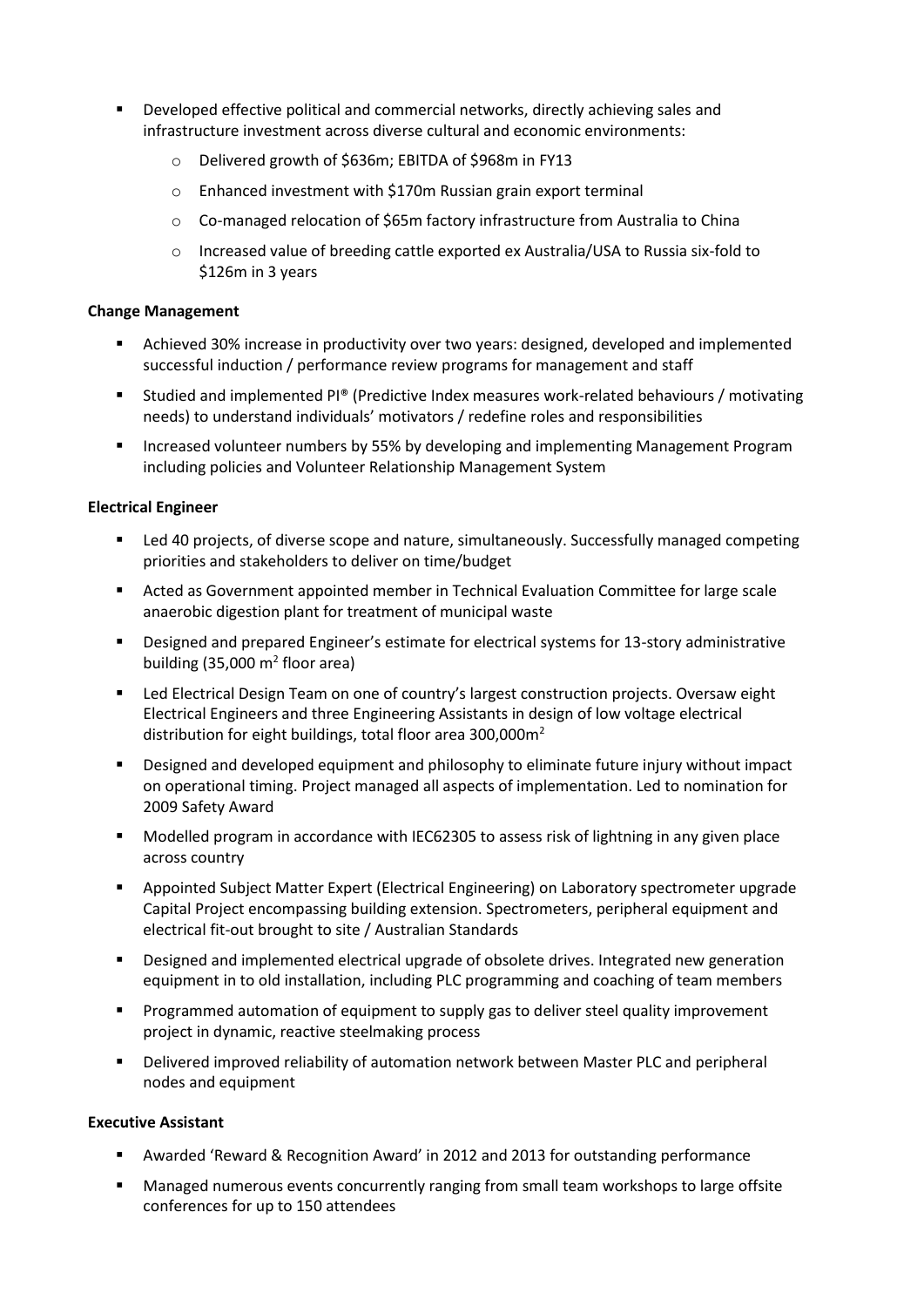- Developed effective political and commercial networks, directly achieving sales and infrastructure investment across diverse cultural and economic environments:
	- Delivered growth of \$636m; EBITDA of \$968m in FY13
	- o Enhanced investment with \$170m Russian grain export terminal
	- o Co-managed relocation of \$65m factory infrastructure from Australia to China
	- o Increased value of breeding cattle exported ex Australia/USA to Russia six-fold to \$126m in 3 years

## **Change Management**

- Achieved 30% increase in productivity over two years: designed, developed and implemented successful induction / performance review programs for management and staff
- Studied and implemented PI® (Predictive Index measures work-related behaviours / motivating needs) to understand individuals' motivators / redefine roles and responsibilities
- **Increased volunteer numbers by 55% by developing and implementing Management Program** including policies and Volunteer Relationship Management System

## **Electrical Engineer**

- Led 40 projects, of diverse scope and nature, simultaneously. Successfully managed competing priorities and stakeholders to deliver on time/budget
- Acted as Government appointed member in Technical Evaluation Committee for large scale anaerobic digestion plant for treatment of municipal waste
- Designed and prepared Engineer's estimate for electrical systems for 13-story administrative building (35,000  $m^2$  floor area)
- Led Electrical Design Team on one of country's largest construction projects. Oversaw eight Electrical Engineers and three Engineering Assistants in design of low voltage electrical distribution for eight buildings, total floor area 300,000 $m<sup>2</sup>$
- Designed and developed equipment and philosophy to eliminate future injury without impact on operational timing. Project managed all aspects of implementation. Led to nomination for 2009 Safety Award
- Modelled program in accordance with IEC62305 to assess risk of lightning in any given place across country
- Appointed Subject Matter Expert (Electrical Engineering) on Laboratory spectrometer upgrade Capital Project encompassing building extension. Spectrometers, peripheral equipment and electrical fit-out brought to site / Australian Standards
- Designed and implemented electrical upgrade of obsolete drives. Integrated new generation equipment in to old installation, including PLC programming and coaching of team members
- **Programmed automation of equipment to supply gas to deliver steel quality improvement** project in dynamic, reactive steelmaking process
- Delivered improved reliability of automation network between Master PLC and peripheral nodes and equipment

## **Executive Assistant**

- Awarded 'Reward & Recognition Award' in 2012 and 2013 for outstanding performance
- Managed numerous events concurrently ranging from small team workshops to large offsite conferences for up to 150 attendees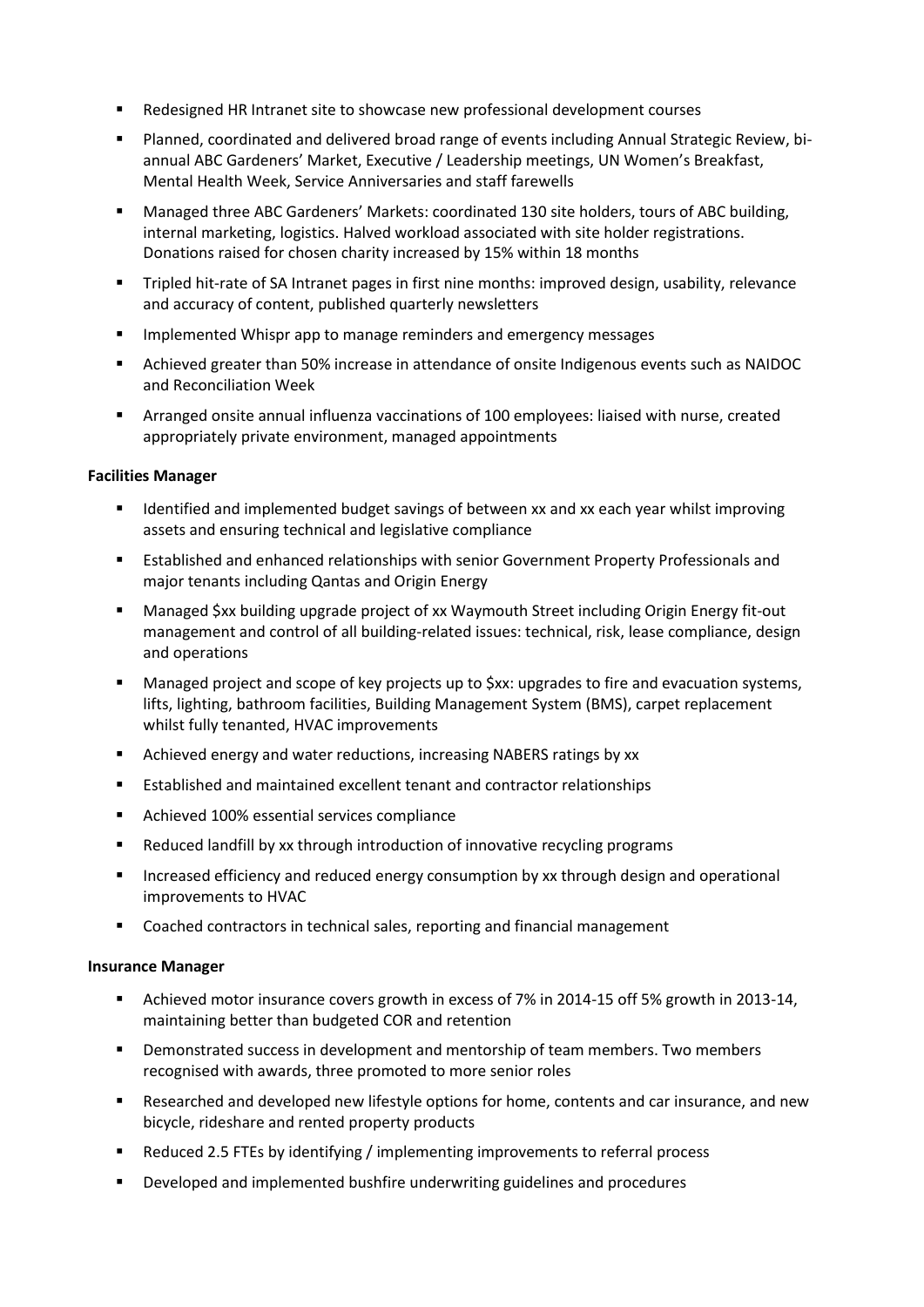- Redesigned HR Intranet site to showcase new professional development courses
- Planned, coordinated and delivered broad range of events including Annual Strategic Review, biannual ABC Gardeners' Market, Executive / Leadership meetings, UN Women's Breakfast, Mental Health Week, Service Anniversaries and staff farewells
- Managed three ABC Gardeners' Markets: coordinated 130 site holders, tours of ABC building, internal marketing, logistics. Halved workload associated with site holder registrations. Donations raised for chosen charity increased by 15% within 18 months
- Tripled hit-rate of SA Intranet pages in first nine months: improved design, usability, relevance and accuracy of content, published quarterly newsletters
- **IMPLEM** Implemented Whispr app to manage reminders and emergency messages
- Achieved greater than 50% increase in attendance of onsite Indigenous events such as NAIDOC and Reconciliation Week
- Arranged onsite annual influenza vaccinations of 100 employees: liaised with nurse, created appropriately private environment, managed appointments

## **Facilities Manager**

- Identified and implemented budget savings of between xx and xx each year whilst improving assets and ensuring technical and legislative compliance
- **Established and enhanced relationships with senior Government Property Professionals and** major tenants including Qantas and Origin Energy
- Managed \$xx building upgrade project of xx Waymouth Street including Origin Energy fit-out management and control of all building-related issues: technical, risk, lease compliance, design and operations
- Managed project and scope of key projects up to \$xx: upgrades to fire and evacuation systems, lifts, lighting, bathroom facilities, Building Management System (BMS), carpet replacement whilst fully tenanted, HVAC improvements
- **EXECUTE:** Achieved energy and water reductions, increasing NABERS ratings by xx
- **Established and maintained excellent tenant and contractor relationships**
- Achieved 100% essential services compliance
- Reduced landfill by xx through introduction of innovative recycling programs
- **Increased efficiency and reduced energy consumption by xx through design and operational** improvements to HVAC
- Coached contractors in technical sales, reporting and financial management

## **Insurance Manager**

- Achieved motor insurance covers growth in excess of 7% in 2014-15 off 5% growth in 2013-14, maintaining better than budgeted COR and retention
- Demonstrated success in development and mentorship of team members. Two members recognised with awards, three promoted to more senior roles
- Researched and developed new lifestyle options for home, contents and car insurance, and new bicycle, rideshare and rented property products
- Reduced 2.5 FTEs by identifying / implementing improvements to referral process
- Developed and implemented bushfire underwriting guidelines and procedures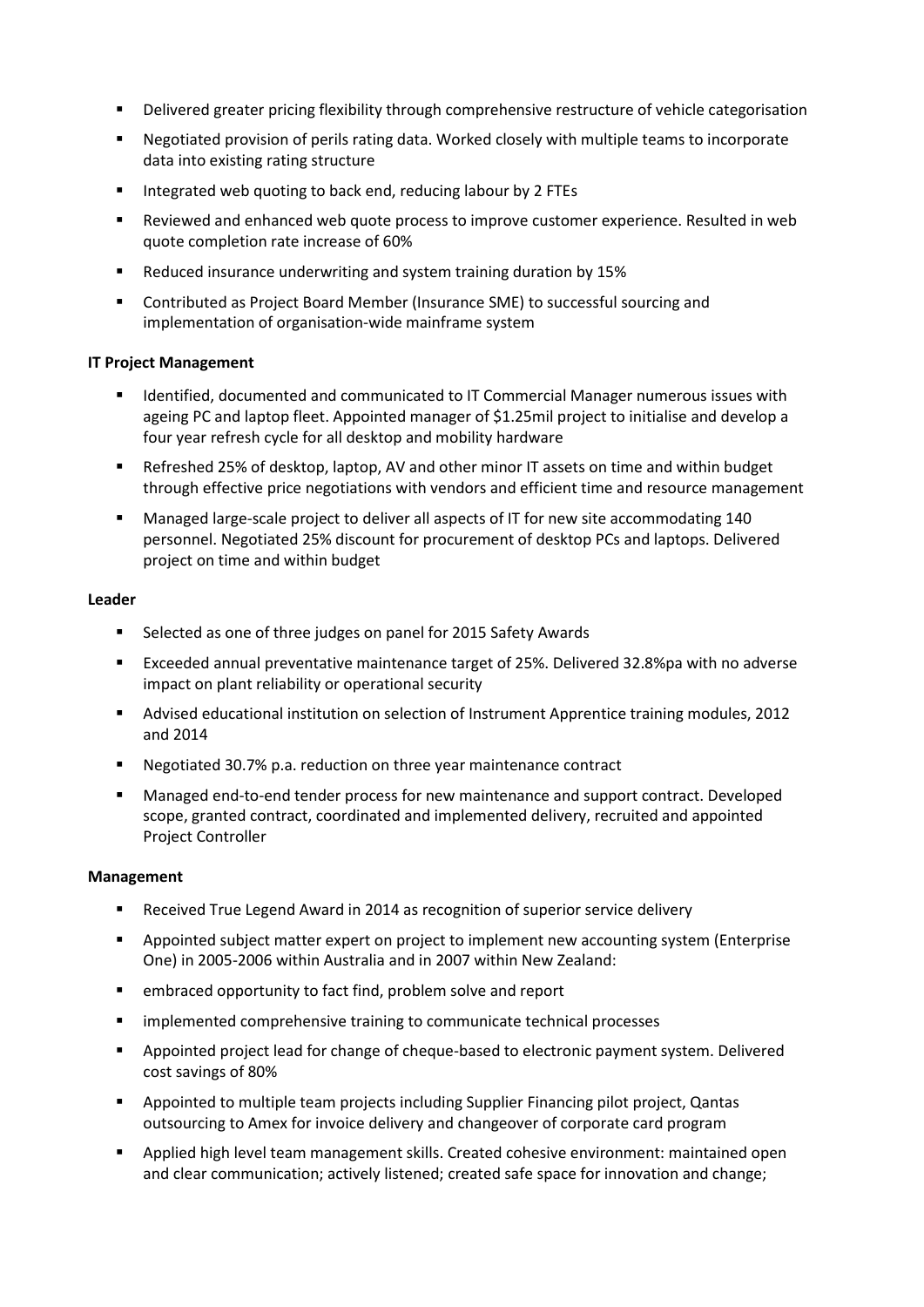- **•** Delivered greater pricing flexibility through comprehensive restructure of vehicle categorisation
- Negotiated provision of perils rating data. Worked closely with multiple teams to incorporate data into existing rating structure
- Integrated web quoting to back end, reducing labour by 2 FTEs
- Reviewed and enhanced web quote process to improve customer experience. Resulted in web quote completion rate increase of 60%
- Reduced insurance underwriting and system training duration by 15%
- Contributed as Project Board Member (Insurance SME) to successful sourcing and implementation of organisation-wide mainframe system

## **IT Project Management**

- **If all identified, documented and communicated to IT Commercial Manager numerous issues with** ageing PC and laptop fleet. Appointed manager of \$1.25mil project to initialise and develop a four year refresh cycle for all desktop and mobility hardware
- Refreshed 25% of desktop, laptop, AV and other minor IT assets on time and within budget through effective price negotiations with vendors and efficient time and resource management
- Managed large-scale project to deliver all aspects of IT for new site accommodating 140 personnel. Negotiated 25% discount for procurement of desktop PCs and laptops. Delivered project on time and within budget

## **Leader**

- **Selected as one of three judges on panel for 2015 Safety Awards**
- Exceeded annual preventative maintenance target of 25%. Delivered 32.8%pa with no adverse impact on plant reliability or operational security
- Advised educational institution on selection of Instrument Apprentice training modules, 2012 and 2014
- Negotiated 30.7% p.a. reduction on three year maintenance contract
- Managed end-to-end tender process for new maintenance and support contract. Developed scope, granted contract, coordinated and implemented delivery, recruited and appointed Project Controller

## **Management**

- Received True Legend Award in 2014 as recognition of superior service delivery
- Appointed subject matter expert on project to implement new accounting system (Enterprise One) in 2005-2006 within Australia and in 2007 within New Zealand:
- embraced opportunity to fact find, problem solve and report
- $\blacksquare$  implemented comprehensive training to communicate technical processes
- Appointed project lead for change of cheque-based to electronic payment system. Delivered cost savings of 80%
- Appointed to multiple team projects including Supplier Financing pilot project, Qantas outsourcing to Amex for invoice delivery and changeover of corporate card program
- Applied high level team management skills. Created cohesive environment: maintained open and clear communication; actively listened; created safe space for innovation and change;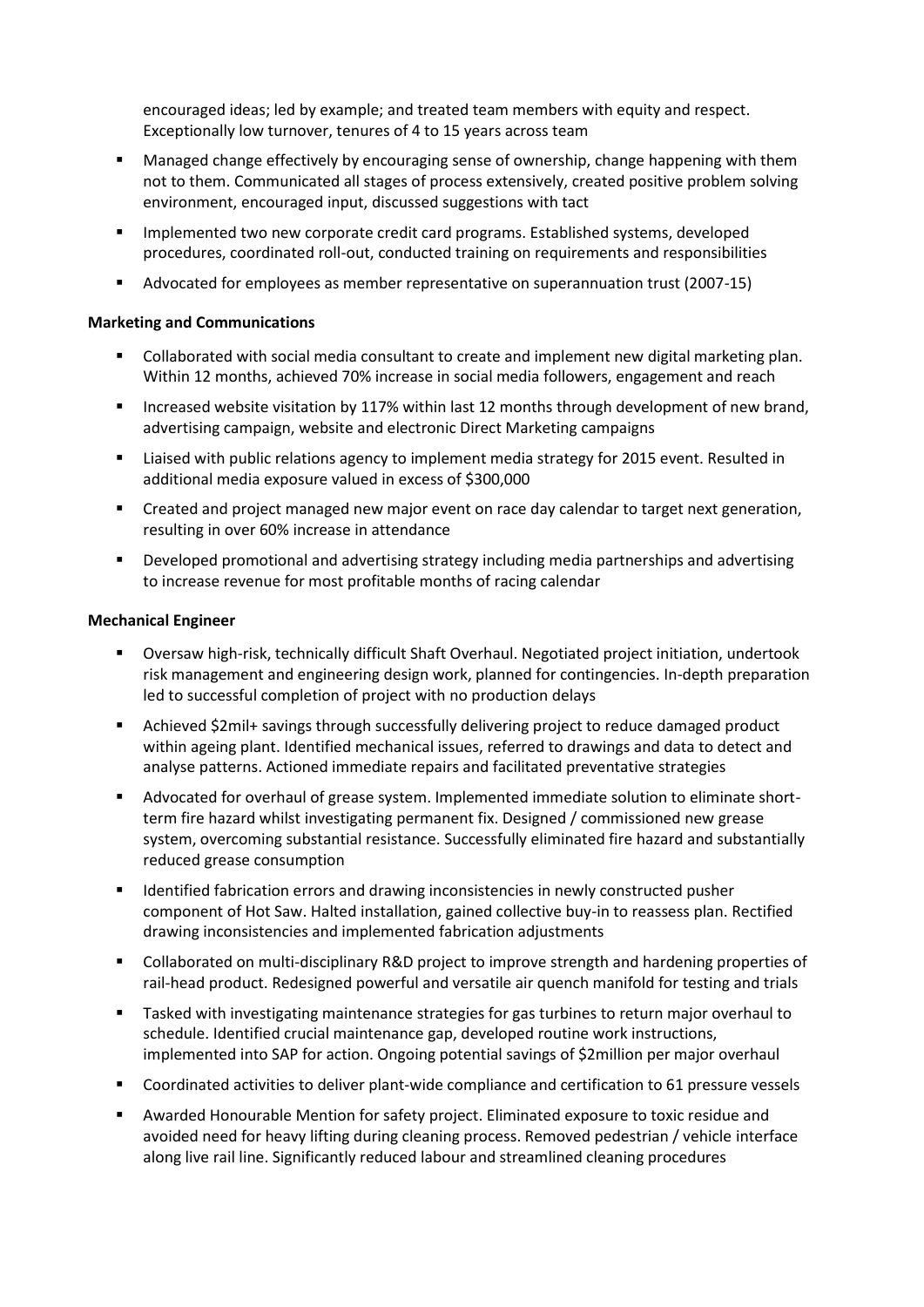encouraged ideas; led by example; and treated team members with equity and respect. Exceptionally low turnover, tenures of 4 to 15 years across team

- Managed change effectively by encouraging sense of ownership, change happening with them not to them. Communicated all stages of process extensively, created positive problem solving environment, encouraged input, discussed suggestions with tact
- Implemented two new corporate credit card programs. Established systems, developed procedures, coordinated roll-out, conducted training on requirements and responsibilities
- Advocated for employees as member representative on superannuation trust (2007-15)

#### **Marketing and Communications**

- Collaborated with social media consultant to create and implement new digital marketing plan. Within 12 months, achieved 70% increase in social media followers, engagement and reach
- Increased website visitation by 117% within last 12 months through development of new brand, advertising campaign, website and electronic Direct Marketing campaigns
- Liaised with public relations agency to implement media strategy for 2015 event. Resulted in additional media exposure valued in excess of \$300,000
- Created and project managed new major event on race day calendar to target next generation, resulting in over 60% increase in attendance
- Developed promotional and advertising strategy including media partnerships and advertising to increase revenue for most profitable months of racing calendar

#### **Mechanical Engineer**

- Oversaw high-risk, technically difficult Shaft Overhaul. Negotiated project initiation, undertook risk management and engineering design work, planned for contingencies. In-depth preparation led to successful completion of project with no production delays
- Achieved \$2mil+ savings through successfully delivering project to reduce damaged product within ageing plant. Identified mechanical issues, referred to drawings and data to detect and analyse patterns. Actioned immediate repairs and facilitated preventative strategies
- Advocated for overhaul of grease system. Implemented immediate solution to eliminate shortterm fire hazard whilst investigating permanent fix. Designed / commissioned new grease system, overcoming substantial resistance. Successfully eliminated fire hazard and substantially reduced grease consumption
- **IDENTIFY IDENTIFY IDENTIFY IS A THE INCORDED FOR THE INCORDED FIGHTS IS A THE INCORDED FIGHTS IN THE INCORDED FIGHTS** component of Hot Saw. Halted installation, gained collective buy-in to reassess plan. Rectified drawing inconsistencies and implemented fabrication adjustments
- Collaborated on multi-disciplinary R&D project to improve strength and hardening properties of rail-head product. Redesigned powerful and versatile air quench manifold for testing and trials
- Tasked with investigating maintenance strategies for gas turbines to return major overhaul to schedule. Identified crucial maintenance gap, developed routine work instructions, implemented into SAP for action. Ongoing potential savings of \$2million per major overhaul
- Coordinated activities to deliver plant-wide compliance and certification to 61 pressure vessels
- Awarded Honourable Mention for safety project. Eliminated exposure to toxic residue and avoided need for heavy lifting during cleaning process. Removed pedestrian / vehicle interface along live rail line. Significantly reduced labour and streamlined cleaning procedures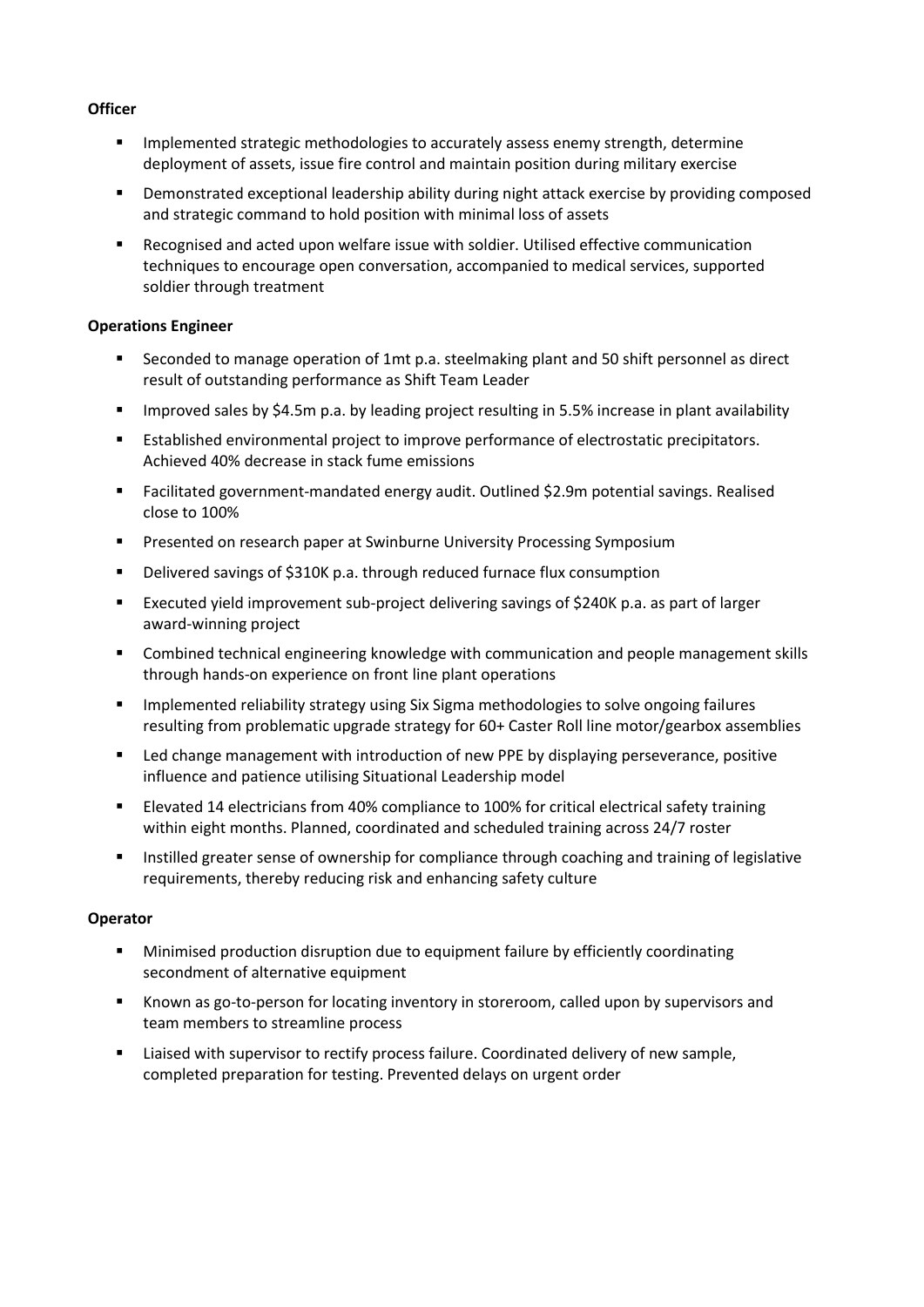## **Officer**

- Implemented strategic methodologies to accurately assess enemy strength, determine deployment of assets, issue fire control and maintain position during military exercise
- **•** Demonstrated exceptional leadership ability during night attack exercise by providing composed and strategic command to hold position with minimal loss of assets
- Recognised and acted upon welfare issue with soldier. Utilised effective communication techniques to encourage open conversation, accompanied to medical services, supported soldier through treatment

## **Operations Engineer**

- Seconded to manage operation of 1mt p.a. steelmaking plant and 50 shift personnel as direct result of outstanding performance as Shift Team Leader
- **IMPROVED SALACT SALACT SALACT SALACT FIGURE 1.5 IN ADAPT IN SALACT IN SALACT SALACT FIGURE 1.5 IN PROVER 3.5 IN SALACT FIGURE 1.5 IN PROVIDIBLE 1.5 IN PROVIDIBLE 1.5 IN PROVIDIBLE 1.5 IN PROVIDIBLE 1.5 IN PROVIDIBLE 1.5 I**
- Established environmental project to improve performance of electrostatic precipitators. Achieved 40% decrease in stack fume emissions
- Facilitated government-mandated energy audit. Outlined \$2.9m potential savings. Realised close to 100%
- **Presented on research paper at Swinburne University Processing Symposium**
- Delivered savings of \$310K p.a. through reduced furnace flux consumption
- Executed yield improvement sub-project delivering savings of \$240K p.a. as part of larger award-winning project
- **EXECOMBINED ENGINORM** Combined technical engineering knowledge with communication and people management skills through hands-on experience on front line plant operations
- **IMPLEM** 11 Implemented reliability strategy using Six Sigma methodologies to solve ongoing failures resulting from problematic upgrade strategy for 60+ Caster Roll line motor/gearbox assemblies
- **EXECT** Led change management with introduction of new PPE by displaying perseverance, positive influence and patience utilising Situational Leadership model
- Elevated 14 electricians from 40% compliance to 100% for critical electrical safety training within eight months. Planned, coordinated and scheduled training across 24/7 roster
- Instilled greater sense of ownership for compliance through coaching and training of legislative requirements, thereby reducing risk and enhancing safety culture

## **Operator**

- Minimised production disruption due to equipment failure by efficiently coordinating secondment of alternative equipment
- Known as go-to-person for locating inventory in storeroom, called upon by supervisors and team members to streamline process
- Liaised with supervisor to rectify process failure. Coordinated delivery of new sample, completed preparation for testing. Prevented delays on urgent order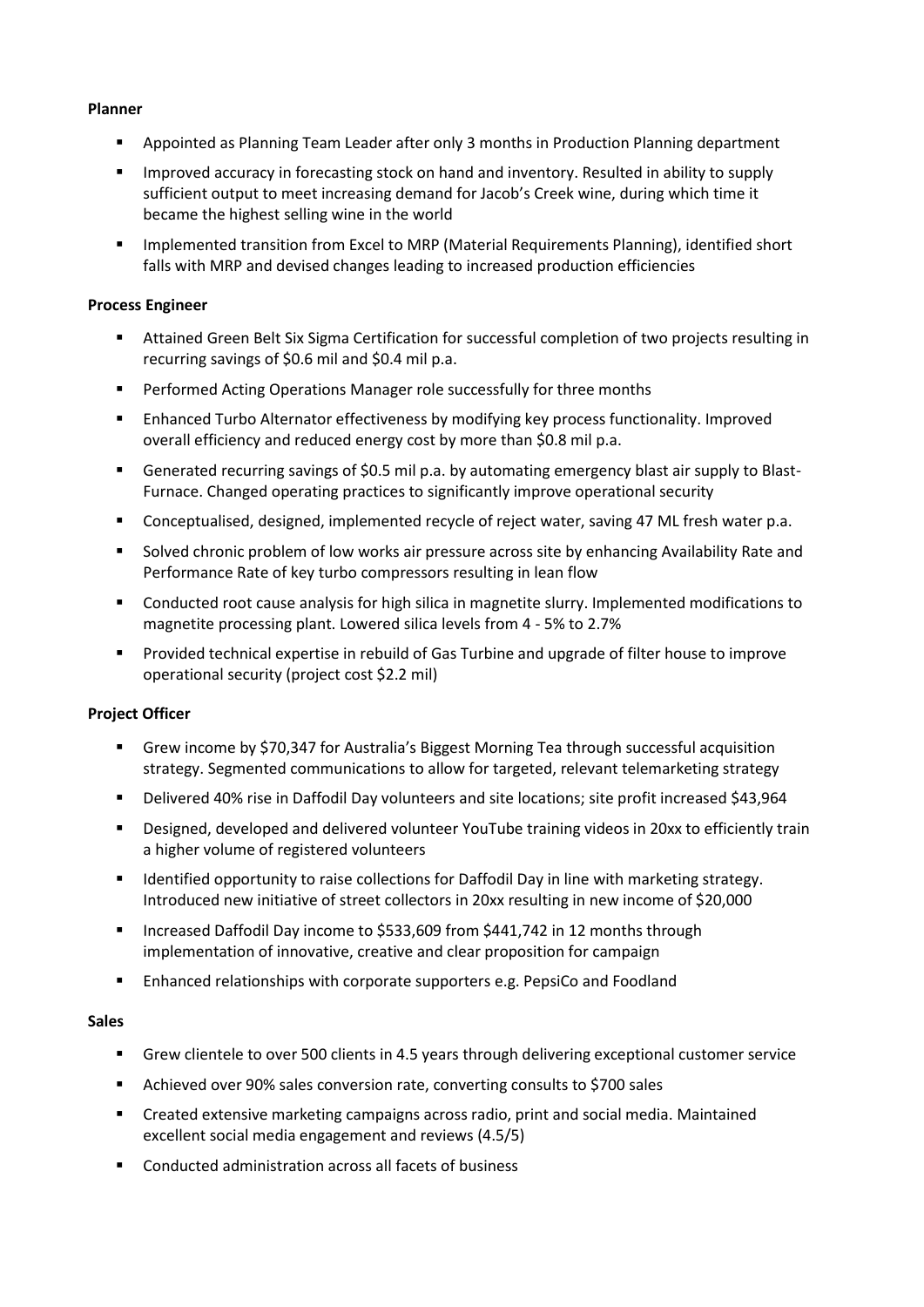### **Planner**

- Appointed as Planning Team Leader after only 3 months in Production Planning department
- **IMPROVED ACCUPACY IS THE STOCK OF STOCK OF AUTHORY** FOR SUPPLY 10 SUPPLY sufficient output to meet increasing demand for Jacob's Creek wine, during which time it became the highest selling wine in the world
- Implemented transition from Excel to MRP (Material Requirements Planning), identified short falls with MRP and devised changes leading to increased production efficiencies

## **Process Engineer**

- Attained Green Belt Six Sigma Certification for successful completion of two projects resulting in recurring savings of \$0.6 mil and \$0.4 mil p.a.
- **Performed Acting Operations Manager role successfully for three months**
- Enhanced Turbo Alternator effectiveness by modifying key process functionality. Improved overall efficiency and reduced energy cost by more than \$0.8 mil p.a.
- Generated recurring savings of \$0.5 mil p.a. by automating emergency blast air supply to Blast-Furnace. Changed operating practices to significantly improve operational security
- Conceptualised, designed, implemented recycle of reject water, saving 47 ML fresh water p.a.
- Solved chronic problem of low works air pressure across site by enhancing Availability Rate and Performance Rate of key turbo compressors resulting in lean flow
- Conducted root cause analysis for high silica in magnetite slurry. Implemented modifications to magnetite processing plant. Lowered silica levels from 4 - 5% to 2.7%
- **Provided technical expertise in rebuild of Gas Turbine and upgrade of filter house to improve** operational security (project cost \$2.2 mil)

## **Project Officer**

- Grew income by \$70,347 for Australia's Biggest Morning Tea through successful acquisition strategy. Segmented communications to allow for targeted, relevant telemarketing strategy
- Delivered 40% rise in Daffodil Day volunteers and site locations; site profit increased \$43,964
- Designed, developed and delivered volunteer YouTube training videos in 20xx to efficiently train a higher volume of registered volunteers
- **IDENTIFY IDENTIFIED CONTEX 1** Identified opportunity to raise collections for Daffodil Day in line with marketing strategy. Introduced new initiative of street collectors in 20xx resulting in new income of \$20,000
- Increased Daffodil Day income to \$533,609 from \$441,742 in 12 months through implementation of innovative, creative and clear proposition for campaign
- Enhanced relationships with corporate supporters e.g. PepsiCo and Foodland

## **Sales**

- Grew clientele to over 500 clients in 4.5 years through delivering exceptional customer service
- Achieved over 90% sales conversion rate, converting consults to \$700 sales
- Created extensive marketing campaigns across radio, print and social media. Maintained excellent social media engagement and reviews (4.5/5)
- Conducted administration across all facets of business